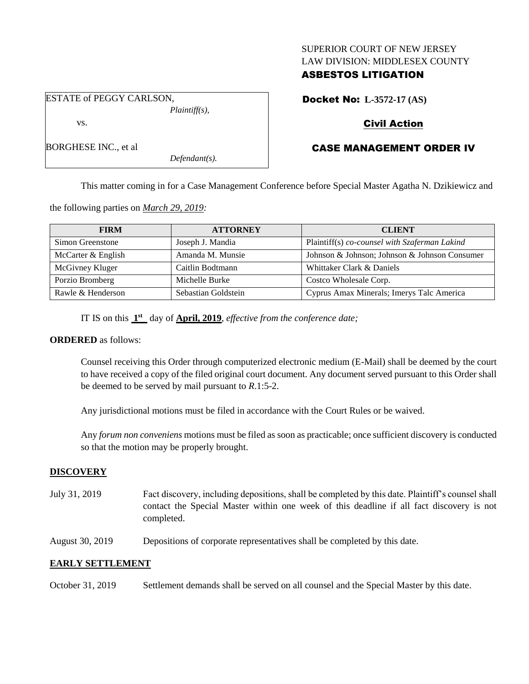## SUPERIOR COURT OF NEW JERSEY LAW DIVISION: MIDDLESEX COUNTY

# ASBESTOS LITIGATION

ESTATE of PEGGY CARLSON, *Plaintiff(s),* Docket No: **L-3572-17 (AS)**

# Civil Action

# CASE MANAGEMENT ORDER IV

This matter coming in for a Case Management Conference before Special Master Agatha N. Dzikiewicz and

the following parties on *March 29, 2019:*

| <b>FIRM</b>        | <b>ATTORNEY</b>     | <b>CLIENT</b>                                 |
|--------------------|---------------------|-----------------------------------------------|
| Simon Greenstone   | Joseph J. Mandia    | Plaintiff(s) co-counsel with Szaferman Lakind |
| McCarter & English | Amanda M. Munsie    | Johnson & Johnson; Johnson & Johnson Consumer |
| McGivney Kluger    | Caitlin Bodtmann    | Whittaker Clark & Daniels                     |
| Porzio Bromberg    | Michelle Burke      | Costco Wholesale Corp.                        |
| Rawle & Henderson  | Sebastian Goldstein | Cyprus Amax Minerals; Imerys Talc America     |

IT IS on this  $1<sup>st</sup>$  day of **April, 2019**, *effective from the conference date*;

### **ORDERED** as follows:

Counsel receiving this Order through computerized electronic medium (E-Mail) shall be deemed by the court to have received a copy of the filed original court document. Any document served pursuant to this Order shall be deemed to be served by mail pursuant to *R*.1:5-2.

Any jurisdictional motions must be filed in accordance with the Court Rules or be waived.

Any *forum non conveniens* motions must be filed as soon as practicable; once sufficient discovery is conducted so that the motion may be properly brought.

### **DISCOVERY**

- July 31, 2019 Fact discovery, including depositions, shall be completed by this date. Plaintiff's counsel shall contact the Special Master within one week of this deadline if all fact discovery is not completed.
- August 30, 2019 Depositions of corporate representatives shall be completed by this date.

## **EARLY SETTLEMENT**

October 31, 2019 Settlement demands shall be served on all counsel and the Special Master by this date.

BORGHESE INC., et al

vs.

*Defendant(s).*